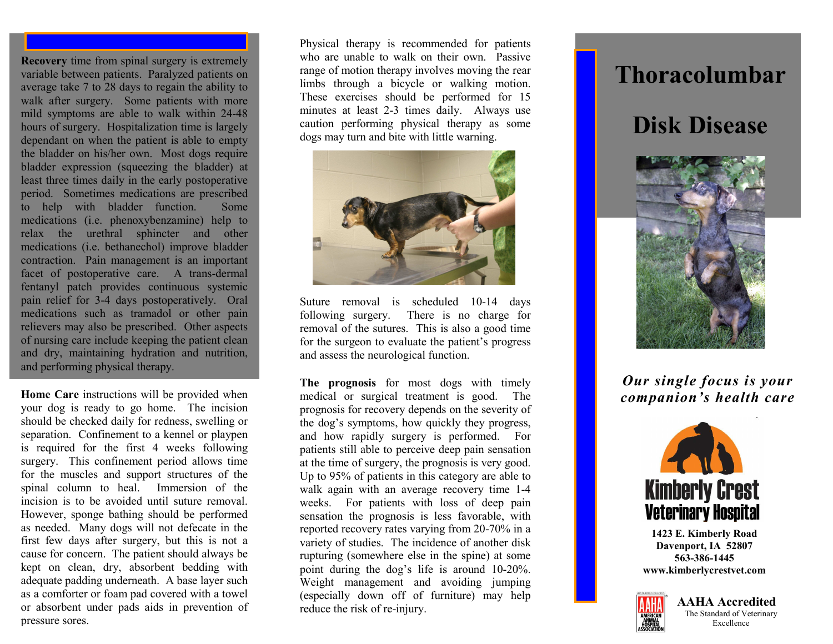**Recovery** time from spinal surgery is extremely variable between patients. Paralyzed patients on average take 7 to 28 days to regain the ability to walk after surgery. Some patients with more mild symptoms are able to walk within 24-48 hours of surgery. Hospitalization time is largely dependant on when the patient is able to empty the bladder on his/her own. Most dogs require bladder expression (squeezing the bladder) at least three times daily in the early postoperative period. Sometimes medications are prescribed to help with bladder function. Some medications (i.e. phenoxybenzamine) help to relax the urethral sphincter and other medications (i.e. bethanechol) improve bladder contraction. Pain management is an important facet of postoperative care. A trans-dermal fentanyl patch provides continuous systemic pain relief for 3-4 days postoperatively. Oral medications such as tramadol or other pain relievers may also be prescribed. Other aspects of nursing care include keeping the patient clean and dry, maintaining hydration and nutrition, and performing physical therapy.

**Home Care** instructions will be provided when your dog is ready to go home. The incision should be checked daily for redness, swelling or separation. Confinement to a kennel or playpen is required for the first 4 weeks following surgery. This confinement period allows time for the muscles and support structures of the spinal column to heal. Immersion of the incision is to be avoided until suture removal. However, sponge bathing should be performed as needed. Many dogs will not defecate in the first few days after surgery, but this is not a cause for concern. The patient should always be kept on clean, dry, absorbent bedding with adequate padding underneath. A base layer such as a comforter or foam pad covered with a towel or absorbent under pads aids in prevention of pressure sores.

Physical therapy is recommended for patients who are unable to walk on their own. Passive range of motion therapy involves moving the rear limbs through a bicycle or walking motion. These exercises should be performed for 15 minutes at least 2-3 times daily. Always use caution performing physical therapy as some dogs may turn and bite with little warning.



Suture removal is scheduled 10-14 days following surgery. There is no charge for removal of the sutures. This is also a good time for the surgeon to evaluate the patient's progress and assess the neurological function.

**The prognosis** for most dogs with timely medical or surgical treatment is good. The prognosis for recovery depends on the severity of the dog's symptoms, how quickly they progress, and how rapidly surgery is performed. For patients still able to perceive deep pain sensation at the time of surgery, the prognosis is very good. Up to 95% of patients in this category are able to walk again with an average recovery time 1-4 weeks. For patients with loss of deep pain sensation the prognosis is less favorable, with reported recovery rates varying from 20-70% in a variety of studies. The incidence of another disk rupturing (somewhere else in the spine) at some point during the dog's life is around 10-20%. Weight management and avoiding jumping (especially down off of furniture) may help reduce the risk of re-injury.

## **Thoracolumbar**

## **Disk Disease**



*Our single focus is your companion's health care*



**1423 E. Kimberly Road Davenport, IA 52807 563-386-1445 www.kimberlycrestvet.com**